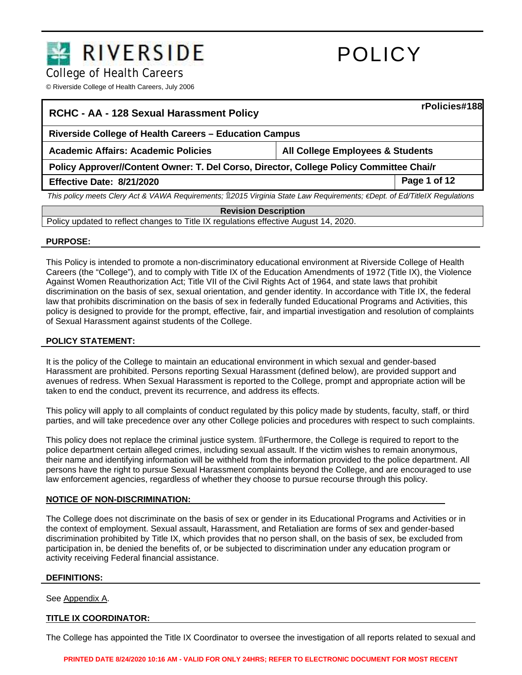

College of Health Careers

© Riverside College of Health Careers, July 2006

|                                                                                                                          | rPolicies#188 |  |
|--------------------------------------------------------------------------------------------------------------------------|---------------|--|
| Riverside College of Health Careers – Education Campus                                                                   |               |  |
| <b>All College Employees &amp; Students</b>                                                                              |               |  |
| Policy Approver//Content Owner: T. Del Corso, Director, College Policy Committee Chai/r                                  |               |  |
|                                                                                                                          | Page 1 of 12  |  |
| This policy meets Clery Act & VAWA Requirements; 12015 Virginia State Law Requirements; €Dept. of Ed/TitleIX Regulations |               |  |
| <b>Revision Description</b>                                                                                              |               |  |
| Policy updated to reflect changes to Title IX regulations effective August 14, 2020.                                     |               |  |
|                                                                                                                          |               |  |

### **PURPOSE:**

This Policy is intended to promote a non-discriminatory educational environment at Riverside College of Health Careers (the "College"), and to comply with Title IX of the Education Amendments of 1972 (Title IX), the Violence Against Women Reauthorization Act; Title VII of the Civil Rights Act of 1964, and state laws that prohibit discrimination on the basis of sex, sexual orientation, and gender identity. In accordance with Title IX, the federal law that prohibits discrimination on the basis of sex in federally funded Educational Programs and Activities, this policy is designed to provide for the prompt, effective, fair, and impartial investigation and resolution of complaints of Sexual Harassment against students of the College.

### **POLICY STATEMENT:**

It is the policy of the College to maintain an educational environment in which sexual and gender-based Harassment are prohibited. Persons reporting Sexual Harassment (defined below), are provided support and avenues of redress. When Sexual Harassment is reported to the College, prompt and appropriate action will be taken to end the conduct, prevent its recurrence, and address its effects.

This policy will apply to all complaints of conduct regulated by this policy made by students, faculty, staff, or third parties, and will take precedence over any other College policies and procedures with respect to such complaints.

This policy does not replace the criminal justice system. ۩Furthermore, the College is required to report to the police department certain alleged crimes, including sexual assault. If the victim wishes to remain anonymous, their name and identifying information will be withheld from the information provided to the police department. All persons have the right to pursue Sexual Harassment complaints beyond the College, and are encouraged to use law enforcement agencies, regardless of whether they choose to pursue recourse through this policy.

### **NOTICE OF NON-DISCRIMINATION:**

The College does not discriminate on the basis of sex or gender in its Educational Programs and Activities or in the context of employment. Sexual assault, Harassment, and Retaliation are forms of sex and gender-based discrimination prohibited by Title IX, which provides that no person shall, on the basis of sex, be excluded from participation in, be denied the benefits of, or be subjected to discrimination under any education program or activity receiving Federal financial assistance.

### **DEFINITIONS:**

See Appendix A.

# **TITLE IX COORDINATOR:**

The College has appointed the Title IX Coordinator to oversee the investigation of all reports related to sexual and

**PRINTED DATE 8/24/2020 10:16 AM - VALID FOR ONLY 24HRS; REFER TO ELECTRONIC DOCUMENT FOR MOST RECENT**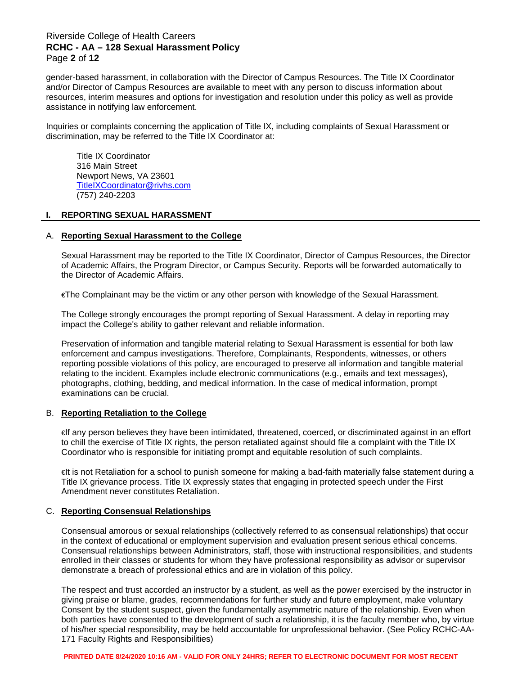# Riverside College of Health Careers **RCHC - AA – 128 Sexual Harassment Policy** Page **2** of **12**

gender-based harassment, in collaboration with the Director of Campus Resources. The Title IX Coordinator and/or Director of Campus Resources are available to meet with any person to discuss information about resources, interim measures and options for investigation and resolution under this policy as well as provide assistance in notifying law enforcement.

Inquiries or complaints concerning the application of Title IX, including complaints of Sexual Harassment or discrimination, may be referred to the Title IX Coordinator at:

Title IX Coordinator 316 Main Street Newport News, VA 23601 [TitleIXCoordinator@rivhs.com](mailto:TitleIXCoordinator@rivhs.com)  (757) 240-2203

### **I. REPORTING SEXUAL HARASSMENT**

#### A. **Reporting Sexual Harassment to the College**

Sexual Harassment may be reported to the Title IX Coordinator, Director of Campus Resources, the Director of Academic Affairs, the Program Director, or Campus Security. Reports will be forwarded automatically to the Director of Academic Affairs.

€The Complainant may be the victim or any other person with knowledge of the Sexual Harassment.

The College strongly encourages the prompt reporting of Sexual Harassment. A delay in reporting may impact the College's ability to gather relevant and reliable information.

Preservation of information and tangible material relating to Sexual Harassment is essential for both law enforcement and campus investigations. Therefore, Complainants, Respondents, witnesses, or others reporting possible violations of this policy, are encouraged to preserve all information and tangible material relating to the incident. Examples include electronic communications (e.g., emails and text messages), photographs, clothing, bedding, and medical information. In the case of medical information, prompt examinations can be crucial.

### B. **Reporting Retaliation to the College**

€If any person believes they have been intimidated, threatened, coerced, or discriminated against in an effort to chill the exercise of Title IX rights, the person retaliated against should file a complaint with the Title IX Coordinator who is responsible for initiating prompt and equitable resolution of such complaints.

€It is not Retaliation for a school to punish someone for making a bad-faith materially false statement during a Title IX grievance process. Title IX expressly states that engaging in protected speech under the First Amendment never constitutes Retaliation.

### C. **Reporting Consensual Relationships**

Consensual amorous or sexual relationships (collectively referred to as consensual relationships) that occur in the context of educational or employment supervision and evaluation present serious ethical concerns. Consensual relationships between Administrators, staff, those with instructional responsibilities, and students enrolled in their classes or students for whom they have professional responsibility as advisor or supervisor demonstrate a breach of professional ethics and are in violation of this policy.

The respect and trust accorded an instructor by a student, as well as the power exercised by the instructor in giving praise or blame, grades, recommendations for further study and future employment, make voluntary Consent by the student suspect, given the fundamentally asymmetric nature of the relationship. Even when both parties have consented to the development of such a relationship, it is the faculty member who, by virtue of his/her special responsibility, may be held accountable for unprofessional behavior. (See Policy RCHC-AA-171 Faculty Rights and Responsibilities)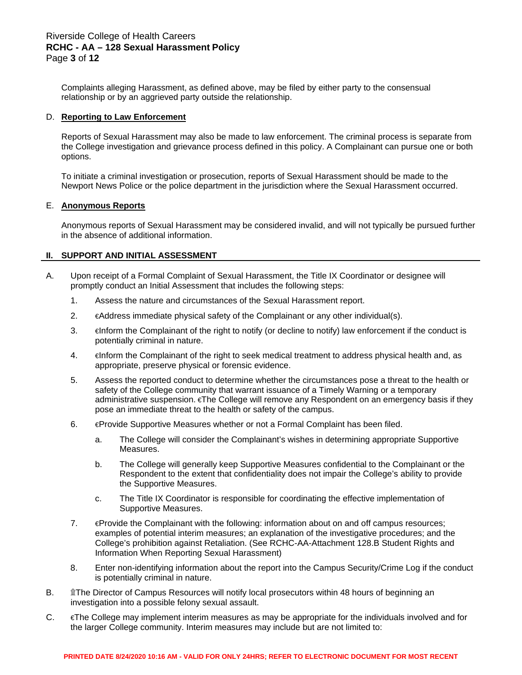Complaints alleging Harassment, as defined above, may be filed by either party to the consensual relationship or by an aggrieved party outside the relationship.

#### D. **Reporting to Law Enforcement**

Reports of Sexual Harassment may also be made to law enforcement. The criminal process is separate from the College investigation and grievance process defined in this policy. A Complainant can pursue one or both options.

To initiate a criminal investigation or prosecution, reports of Sexual Harassment should be made to the Newport News Police or the police department in the jurisdiction where the Sexual Harassment occurred.

#### E. **Anonymous Reports**

Anonymous reports of Sexual Harassment may be considered invalid, and will not typically be pursued further in the absence of additional information.

### **II. SUPPORT AND INITIAL ASSESSMENT**

- A. Upon receipt of a Formal Complaint of Sexual Harassment, the Title IX Coordinator or designee will promptly conduct an Initial Assessment that includes the following steps:
	- 1. Assess the nature and circumstances of the Sexual Harassment report.
	- 2. €Address immediate physical safety of the Complainant or any other individual(s).
	- 3. **E** ∈ finform the Complainant of the right to notify (or decline to notify) law enforcement if the conduct is potentially criminal in nature.
	- 4. ∈Inform the Complainant of the right to seek medical treatment to address physical health and, as appropriate, preserve physical or forensic evidence.
	- 5. Assess the reported conduct to determine whether the circumstances pose a threat to the health or safety of the College community that warrant issuance of a Timely Warning or a temporary administrative suspension. €The College will remove any Respondent on an emergency basis if they pose an immediate threat to the health or safety of the campus.
	- 6. €Provide Supportive Measures whether or not a Formal Complaint has been filed.
		- a. The College will consider the Complainant's wishes in determining appropriate Supportive Measures.
		- b. The College will generally keep Supportive Measures confidential to the Complainant or the Respondent to the extent that confidentiality does not impair the College's ability to provide the Supportive Measures.
		- c. The Title IX Coordinator is responsible for coordinating the effective implementation of Supportive Measures.
	- 7. €Provide the Complainant with the following: information about on and off campus resources; examples of potential interim measures; an explanation of the investigative procedures; and the College's prohibition against Retaliation. (See RCHC-AA-Attachment 128.B Student Rights and Information When Reporting Sexual Harassment)
	- 8. Enter non-identifying information about the report into the Campus Security/Crime Log if the conduct is potentially criminal in nature.
- B. **10. 
If the Director of Campus Resources will notify local prosecutors within 48 hours of beginning an** investigation into a possible felony sexual assault.
- C. €The College may implement interim measures as may be appropriate for the individuals involved and for the larger College community. Interim measures may include but are not limited to: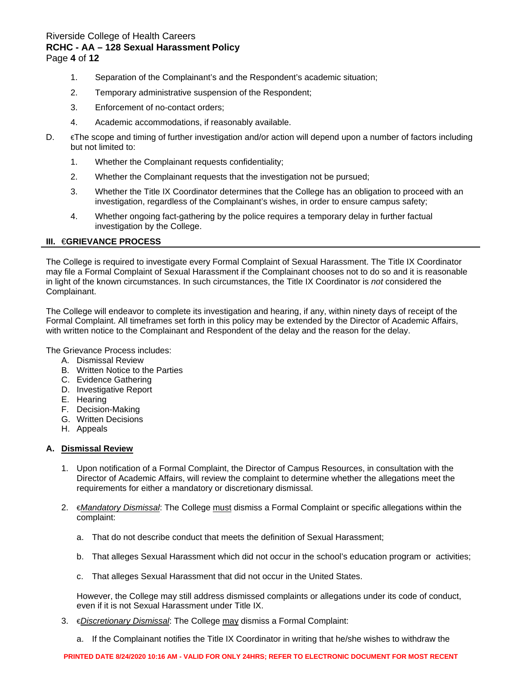# Riverside College of Health Careers **RCHC - AA – 128 Sexual Harassment Policy** Page **4** of **12**

- 1. Separation of the Complainant's and the Respondent's academic situation;
- 2. Temporary administrative suspension of the Respondent;
- 3. Enforcement of no-contact orders;
- 4. Academic accommodations, if reasonably available.
- D. €The scope and timing of further investigation and/or action will depend upon a number of factors including but not limited to:
	- 1. Whether the Complainant requests confidentiality;
	- 2. Whether the Complainant requests that the investigation not be pursued;
	- 3. Whether the Title IX Coordinator determines that the College has an obligation to proceed with an investigation, regardless of the Complainant's wishes, in order to ensure campus safety;
	- 4. Whether ongoing fact-gathering by the police requires a temporary delay in further factual investigation by the College.

### **III.** €**GRIEVANCE PROCESS**

The College is required to investigate every Formal Complaint of Sexual Harassment. The Title IX Coordinator may file a Formal Complaint of Sexual Harassment if the Complainant chooses not to do so and it is reasonable in light of the known circumstances. In such circumstances, the Title IX Coordinator is *not* considered the Complainant.

The College will endeavor to complete its investigation and hearing, if any, within ninety days of receipt of the Formal Complaint. All timeframes set forth in this policy may be extended by the Director of Academic Affairs, with written notice to the Complainant and Respondent of the delay and the reason for the delay.

The Grievance Process includes:

- A. Dismissal Review
- B. Written Notice to the Parties
- C. Evidence Gathering
- D. Investigative Report
- E. Hearing
- F. Decision-Making
- G. Written Decisions
- H. Appeals

### **A. Dismissal Review**

- 1. Upon notification of a Formal Complaint, the Director of Campus Resources, in consultation with the Director of Academic Affairs, will review the complaint to determine whether the allegations meet the requirements for either a mandatory or discretionary dismissal.
- 2. €*Mandatory Dismissal*: The College must dismiss a Formal Complaint or specific allegations within the complaint:
	- a. That do not describe conduct that meets the definition of Sexual Harassment;
	- b. That alleges Sexual Harassment which did not occur in the school's education program or activities;
	- c. That alleges Sexual Harassment that did not occur in the United States.

However, the College may still address dismissed complaints or allegations under its code of conduct, even if it is not Sexual Harassment under Title IX.

- 3. €*Discretionary Dismissal*: The College may dismiss a Formal Complaint:
	- a. If the Complainant notifies the Title IX Coordinator in writing that he/she wishes to withdraw the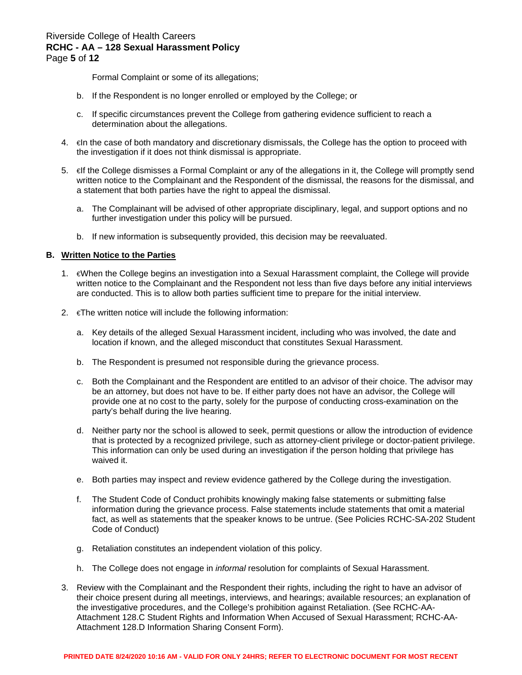Formal Complaint or some of its allegations;

- b. If the Respondent is no longer enrolled or employed by the College; or
- c. If specific circumstances prevent the College from gathering evidence sufficient to reach a determination about the allegations.
- 4. €In the case of both mandatory and discretionary dismissals, the College has the option to proceed with the investigation if it does not think dismissal is appropriate.
- 5.  $\in$  ∈ff the College dismisses a Formal Complaint or any of the allegations in it, the College will promptly send written notice to the Complainant and the Respondent of the dismissal, the reasons for the dismissal, and a statement that both parties have the right to appeal the dismissal.
	- a. The Complainant will be advised of other appropriate disciplinary, legal, and support options and no further investigation under this policy will be pursued.
	- b. If new information is subsequently provided, this decision may be reevaluated.

### **B. Written Notice to the Parties**

- 1. €When the College begins an investigation into a Sexual Harassment complaint, the College will provide written notice to the Complainant and the Respondent not less than five days before any initial interviews are conducted. This is to allow both parties sufficient time to prepare for the initial interview.
- 2.  $\in$ The written notice will include the following information:
	- a. Key details of the alleged Sexual Harassment incident, including who was involved, the date and location if known, and the alleged misconduct that constitutes Sexual Harassment.
	- b. The Respondent is presumed not responsible during the grievance process.
	- c. Both the Complainant and the Respondent are entitled to an advisor of their choice. The advisor may be an attorney, but does not have to be. If either party does not have an advisor, the College will provide one at no cost to the party, solely for the purpose of conducting cross-examination on the party's behalf during the live hearing.
	- d. Neither party nor the school is allowed to seek, permit questions or allow the introduction of evidence that is protected by a recognized privilege, such as attorney-client privilege or doctor-patient privilege. This information can only be used during an investigation if the person holding that privilege has waived it.
	- e. Both parties may inspect and review evidence gathered by the College during the investigation.
	- f. The Student Code of Conduct prohibits knowingly making false statements or submitting false information during the grievance process. False statements include statements that omit a material fact, as well as statements that the speaker knows to be untrue. (See Policies RCHC-SA-202 Student Code of Conduct)
	- g. Retaliation constitutes an independent violation of this policy.
	- h. The College does not engage in *informal* resolution for complaints of Sexual Harassment.
- 3. Review with the Complainant and the Respondent their rights, including the right to have an advisor of their choice present during all meetings, interviews, and hearings; available resources; an explanation of the investigative procedures, and the College's prohibition against Retaliation. (See RCHC-AA-Attachment 128.C Student Rights and Information When Accused of Sexual Harassment; RCHC-AA-Attachment 128.D Information Sharing Consent Form).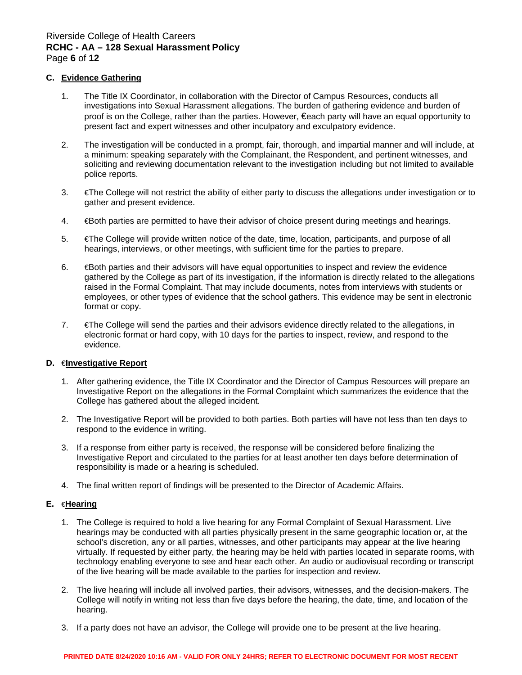# Riverside College of Health Careers **RCHC - AA – 128 Sexual Harassment Policy** Page **6** of **12**

### **C. Evidence Gathering**

- 1. The Title IX Coordinator, in collaboration with the Director of Campus Resources, conducts all investigations into Sexual Harassment allegations. The burden of gathering evidence and burden of proof is on the College, rather than the parties. However, €each party will have an equal opportunity to present fact and expert witnesses and other inculpatory and exculpatory evidence.
- 2. The investigation will be conducted in a prompt, fair, thorough, and impartial manner and will include, at a minimum: speaking separately with the Complainant, the Respondent, and pertinent witnesses, and soliciting and reviewing documentation relevant to the investigation including but not limited to available police reports.
- 3. €The College will not restrict the ability of either party to discuss the allegations under investigation or to gather and present evidence.
- 4. €Both parties are permitted to have their advisor of choice present during meetings and hearings.
- 5. €The College will provide written notice of the date, time, location, participants, and purpose of all hearings, interviews, or other meetings, with sufficient time for the parties to prepare.
- 6. €Both parties and their advisors will have equal opportunities to inspect and review the evidence gathered by the College as part of its investigation, if the information is directly related to the allegations raised in the Formal Complaint. That may include documents, notes from interviews with students or employees, or other types of evidence that the school gathers. This evidence may be sent in electronic format or copy.
- 7. €The College will send the parties and their advisors evidence directly related to the allegations, in electronic format or hard copy, with 10 days for the parties to inspect, review, and respond to the evidence.

### **D.** €**Investigative Report**

- 1. After gathering evidence, the Title IX Coordinator and the Director of Campus Resources will prepare an Investigative Report on the allegations in the Formal Complaint which summarizes the evidence that the College has gathered about the alleged incident.
- 2. The Investigative Report will be provided to both parties. Both parties will have not less than ten days to respond to the evidence in writing.
- 3. If a response from either party is received, the response will be considered before finalizing the Investigative Report and circulated to the parties for at least another ten days before determination of responsibility is made or a hearing is scheduled.
- 4. The final written report of findings will be presented to the Director of Academic Affairs.

### **E.** €**Hearing**

- 1. The College is required to hold a live hearing for any Formal Complaint of Sexual Harassment. Live hearings may be conducted with all parties physically present in the same geographic location or, at the school's discretion, any or all parties, witnesses, and other participants may appear at the live hearing virtually. If requested by either party, the hearing may be held with parties located in separate rooms, with technology enabling everyone to see and hear each other. An audio or audiovisual recording or transcript of the live hearing will be made available to the parties for inspection and review.
- 2. The live hearing will include all involved parties, their advisors, witnesses, and the decision-makers. The College will notify in writing not less than five days before the hearing, the date, time, and location of the hearing.
- 3. If a party does not have an advisor, the College will provide one to be present at the live hearing.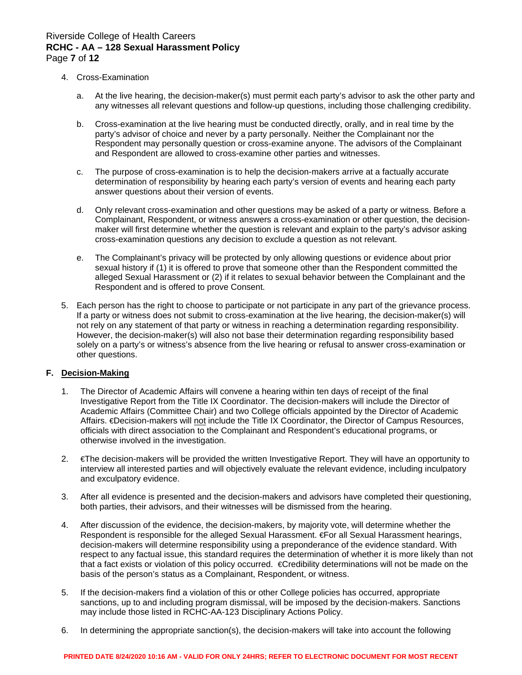# Riverside College of Health Careers **RCHC - AA – 128 Sexual Harassment Policy** Page **7** of **12**

- 4. Cross-Examination
	- a. At the live hearing, the decision-maker(s) must permit each party's advisor to ask the other party and any witnesses all relevant questions and follow-up questions, including those challenging credibility.
	- b. Cross-examination at the live hearing must be conducted directly, orally, and in real time by the party's advisor of choice and never by a party personally. Neither the Complainant nor the Respondent may personally question or cross-examine anyone. The advisors of the Complainant and Respondent are allowed to cross-examine other parties and witnesses.
	- c. The purpose of cross-examination is to help the decision-makers arrive at a factually accurate determination of responsibility by hearing each party's version of events and hearing each party answer questions about their version of events.
	- d. Only relevant cross-examination and other questions may be asked of a party or witness. Before a Complainant, Respondent, or witness answers a cross-examination or other question, the decisionmaker will first determine whether the question is relevant and explain to the party's advisor asking cross-examination questions any decision to exclude a question as not relevant.
	- e. The Complainant's privacy will be protected by only allowing questions or evidence about prior sexual history if (1) it is offered to prove that someone other than the Respondent committed the alleged Sexual Harassment or (2) if it relates to sexual behavior between the Complainant and the Respondent and is offered to prove Consent.
- 5. Each person has the right to choose to participate or not participate in any part of the grievance process. If a party or witness does not submit to cross-examination at the live hearing, the decision-maker(s) will not rely on any statement of that party or witness in reaching a determination regarding responsibility. However, the decision-maker(s) will also not base their determination regarding responsibility based solely on a party's or witness's absence from the live hearing or refusal to answer cross-examination or other questions.

# **F. Decision-Making**

- 1. The Director of Academic Affairs will convene a hearing within ten days of receipt of the final Investigative Report from the Title IX Coordinator. The decision-makers will include the Director of Academic Affairs (Committee Chair) and two College officials appointed by the Director of Academic Affairs. €Decision-makers will not include the Title IX Coordinator, the Director of Campus Resources, officials with direct association to the Complainant and Respondent's educational programs, or otherwise involved in the investigation.
- 2. €The decision-makers will be provided the written Investigative Report. They will have an opportunity to interview all interested parties and will objectively evaluate the relevant evidence, including inculpatory and exculpatory evidence.
- 3. After all evidence is presented and the decision-makers and advisors have completed their questioning, both parties, their advisors, and their witnesses will be dismissed from the hearing.
- 4. After discussion of the evidence, the decision-makers, by majority vote, will determine whether the Respondent is responsible for the alleged Sexual Harassment. €For all Sexual Harassment hearings, decision-makers will determine responsibility using a preponderance of the evidence standard. With respect to any factual issue, this standard requires the determination of whether it is more likely than not that a fact exists or violation of this policy occurred. €Credibility determinations will not be made on the basis of the person's status as a Complainant, Respondent, or witness.
- 5. If the decision-makers find a violation of this or other College policies has occurred, appropriate sanctions, up to and including program dismissal, will be imposed by the decision-makers. Sanctions may include those listed in RCHC-AA-123 Disciplinary Actions Policy.
- 6. In determining the appropriate sanction(s), the decision-makers will take into account the following

### **PRINTED DATE 8/24/2020 10:16 AM - VALID FOR ONLY 24HRS; REFER TO ELECTRONIC DOCUMENT FOR MOST RECENT**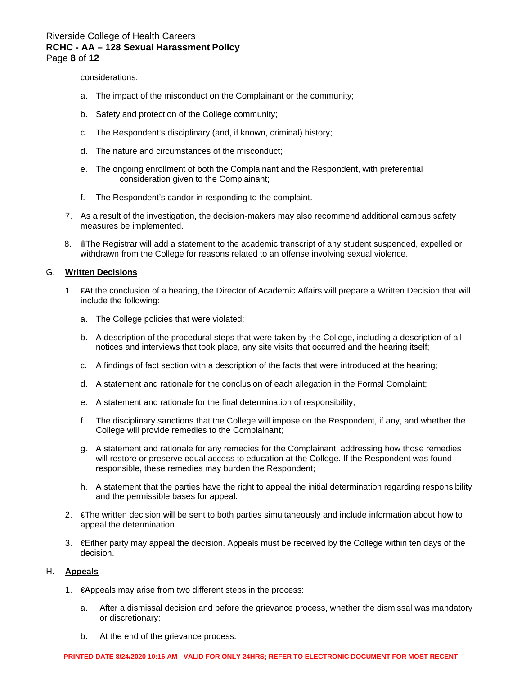# Riverside College of Health Careers **RCHC - AA – 128 Sexual Harassment Policy** Page **8** of **12**

considerations:

- a. The impact of the misconduct on the Complainant or the community;
- b. Safety and protection of the College community;
- c. The Respondent's disciplinary (and, if known, criminal) history;
- d. The nature and circumstances of the misconduct;
- e. The ongoing enrollment of both the Complainant and the Respondent, with preferential consideration given to the Complainant;
- f. The Respondent's candor in responding to the complaint.
- 7. As a result of the investigation, the decision-makers may also recommend additional campus safety measures be implemented.
- 8. **If** The Registrar will add a statement to the academic transcript of any student suspended, expelled or withdrawn from the College for reasons related to an offense involving sexual violence.

#### G. **Written Decisions**

- 1. €At the conclusion of a hearing, the Director of Academic Affairs will prepare a Written Decision that will include the following:
	- a. The College policies that were violated;
	- b. A description of the procedural steps that were taken by the College, including a description of all notices and interviews that took place, any site visits that occurred and the hearing itself;
	- c. A findings of fact section with a description of the facts that were introduced at the hearing;
	- d. A statement and rationale for the conclusion of each allegation in the Formal Complaint;
	- e. A statement and rationale for the final determination of responsibility;
	- f. The disciplinary sanctions that the College will impose on the Respondent, if any, and whether the College will provide remedies to the Complainant;
	- g. A statement and rationale for any remedies for the Complainant, addressing how those remedies will restore or preserve equal access to education at the College. If the Respondent was found responsible, these remedies may burden the Respondent;
	- h. A statement that the parties have the right to appeal the initial determination regarding responsibility and the permissible bases for appeal.
- 2. €The written decision will be sent to both parties simultaneously and include information about how to appeal the determination.
- 3. €Either party may appeal the decision. Appeals must be received by the College within ten days of the decision.

### H. **Appeals**

- 1. €Appeals may arise from two different steps in the process:
	- a. After a dismissal decision and before the grievance process, whether the dismissal was mandatory or discretionary;
	- b. At the end of the grievance process.

#### **PRINTED DATE 8/24/2020 10:16 AM - VALID FOR ONLY 24HRS; REFER TO ELECTRONIC DOCUMENT FOR MOST RECENT**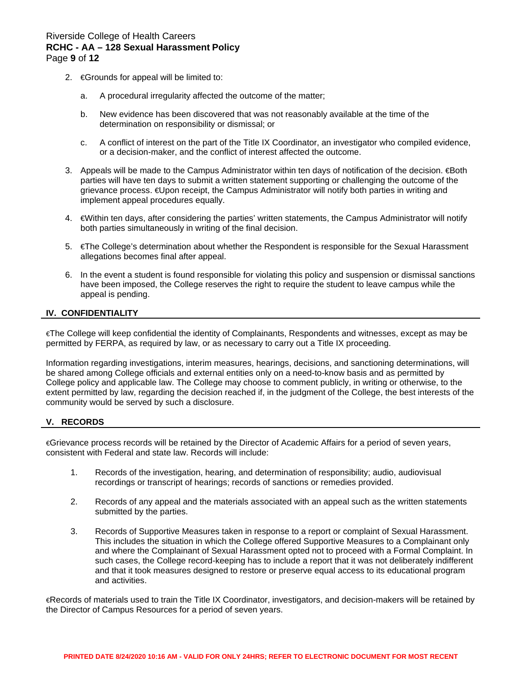- 2. €Grounds for appeal will be limited to:
	- a. A procedural irregularity affected the outcome of the matter;
	- b. New evidence has been discovered that was not reasonably available at the time of the determination on responsibility or dismissal; or
	- c. A conflict of interest on the part of the Title IX Coordinator, an investigator who compiled evidence, or a decision-maker, and the conflict of interest affected the outcome.
- 3. Appeals will be made to the Campus Administrator within ten days of notification of the decision. €Both parties will have ten days to submit a written statement supporting or challenging the outcome of the grievance process. €Upon receipt, the Campus Administrator will notify both parties in writing and implement appeal procedures equally.
- 4. €Within ten days, after considering the parties' written statements, the Campus Administrator will notify both parties simultaneously in writing of the final decision.
- 5. €The College's determination about whether the Respondent is responsible for the Sexual Harassment allegations becomes final after appeal.
- 6. In the event a student is found responsible for violating this policy and suspension or dismissal sanctions have been imposed, the College reserves the right to require the student to leave campus while the appeal is pending.

### **IV. CONFIDENTIALITY**

€The College will keep confidential the identity of Complainants, Respondents and witnesses, except as may be permitted by FERPA, as required by law, or as necessary to carry out a Title IX proceeding.

Information regarding investigations, interim measures, hearings, decisions, and sanctioning determinations, will be shared among College officials and external entities only on a need-to-know basis and as permitted by College policy and applicable law. The College may choose to comment publicly, in writing or otherwise, to the extent permitted by law, regarding the decision reached if, in the judgment of the College, the best interests of the community would be served by such a disclosure.

# **V. RECORDS**

€Grievance process records will be retained by the Director of Academic Affairs for a period of seven years, consistent with Federal and state law. Records will include:

- 1. Records of the investigation, hearing, and determination of responsibility; audio, audiovisual recordings or transcript of hearings; records of sanctions or remedies provided.
- 2. Records of any appeal and the materials associated with an appeal such as the written statements submitted by the parties.
- 3. Records of Supportive Measures taken in response to a report or complaint of Sexual Harassment. This includes the situation in which the College offered Supportive Measures to a Complainant only and where the Complainant of Sexual Harassment opted not to proceed with a Formal Complaint. In such cases, the College record-keeping has to include a report that it was not deliberately indifferent and that it took measures designed to restore or preserve equal access to its educational program and activities.

€Records of materials used to train the Title IX Coordinator, investigators, and decision-makers will be retained by the Director of Campus Resources for a period of seven years.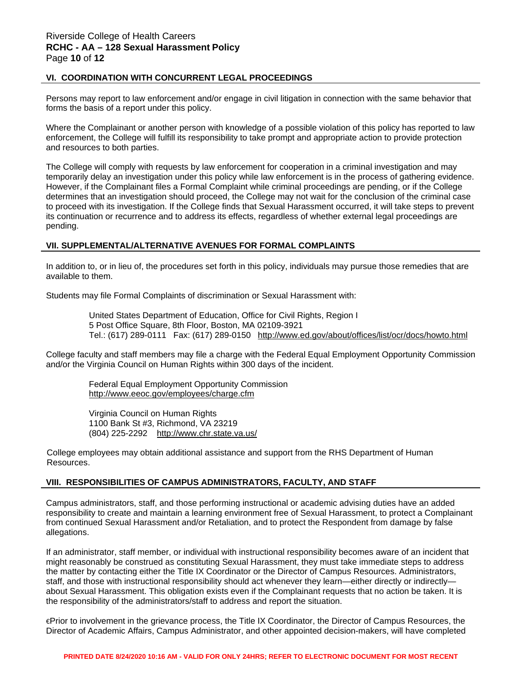## **VI. COORDINATION WITH CONCURRENT LEGAL PROCEEDINGS**

Persons may report to law enforcement and/or engage in civil litigation in connection with the same behavior that forms the basis of a report under this policy.

Where the Complainant or another person with knowledge of a possible violation of this policy has reported to law enforcement, the College will fulfill its responsibility to take prompt and appropriate action to provide protection and resources to both parties.

The College will comply with requests by law enforcement for cooperation in a criminal investigation and may temporarily delay an investigation under this policy while law enforcement is in the process of gathering evidence. However, if the Complainant files a Formal Complaint while criminal proceedings are pending, or if the College determines that an investigation should proceed, the College may not wait for the conclusion of the criminal case to proceed with its investigation. If the College finds that Sexual Harassment occurred, it will take steps to prevent its continuation or recurrence and to address its effects, regardless of whether external legal proceedings are pending.

### **VII. SUPPLEMENTAL/ALTERNATIVE AVENUES FOR FORMAL COMPLAINTS**

In addition to, or in lieu of, the procedures set forth in this policy, individuals may pursue those remedies that are available to them.

Students may file Formal Complaints of discrimination or Sexual Harassment with:

United States Department of Education, Office for Civil Rights, Region I 5 Post Office Square, 8th Floor, Boston, MA 02109-3921 Tel.: (617) 289-0111 Fax: (617) 289-0150 <http://www.ed.gov/about/offices/list/ocr/docs/howto.html>

College faculty and staff members may file a charge with the Federal Equal Employment Opportunity Commission and/or the Virginia Council on Human Rights within 300 days of the incident.

> Federal Equal Employment Opportunity Commission <http://www.eeoc.gov/employees/charge.cfm>

Virginia Council on Human Rights 1100 Bank St #3, Richmond, VA 23219 (804) 225-2292 <http://www.chr.state.va.us/>

College employees may obtain additional assistance and support from the RHS Department of Human Resources.

# **VIII. RESPONSIBILITIES OF CAMPUS ADMINISTRATORS, FACULTY, AND STAFF**

Campus administrators, staff, and those performing instructional or academic advising duties have an added responsibility to create and maintain a learning environment free of Sexual Harassment, to protect a Complainant from continued Sexual Harassment and/or Retaliation, and to protect the Respondent from damage by false allegations.

If an administrator, staff member, or individual with instructional responsibility becomes aware of an incident that might reasonably be construed as constituting Sexual Harassment, they must take immediate steps to address the matter by contacting either the Title IX Coordinator or the Director of Campus Resources. Administrators, staff, and those with instructional responsibility should act whenever they learn—either directly or indirectly about Sexual Harassment. This obligation exists even if the Complainant requests that no action be taken. It is the responsibility of the administrators/staff to address and report the situation.

€Prior to involvement in the grievance process, the Title IX Coordinator, the Director of Campus Resources, the Director of Academic Affairs, Campus Administrator, and other appointed decision-makers, will have completed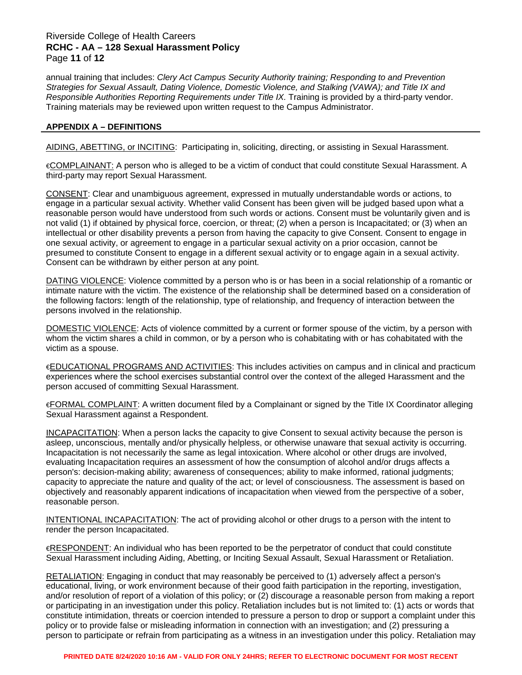## Riverside College of Health Careers **RCHC - AA – 128 Sexual Harassment Policy** Page **11** of **12**

annual training that includes: *Clery Act Campus Security Authority training; Responding to and Prevention Strategies for Sexual Assault, Dating Violence, Domestic Violence, and Stalking (VAWA); and Title IX and Responsible Authorities Reporting Requirements under Title IX.* Training is provided by a third-party vendor. Training materials may be reviewed upon written request to the Campus Administrator.

### **APPENDIX A – DEFINITIONS**

AIDING, ABETTING, or INCITING: Participating in, soliciting, directing, or assisting in Sexual Harassment.

€COMPLAINANT: A person who is alleged to be a victim of conduct that could constitute Sexual Harassment. A third-party may report Sexual Harassment.

CONSENT: Clear and unambiguous agreement, expressed in mutually understandable words or actions, to engage in a particular sexual activity. Whether valid Consent has been given will be judged based upon what a reasonable person would have understood from such words or actions. Consent must be voluntarily given and is not valid (1) if obtained by physical force, coercion, or threat; (2) when a person is Incapacitated; or (3) when an intellectual or other disability prevents a person from having the capacity to give Consent. Consent to engage in one sexual activity, or agreement to engage in a particular sexual activity on a prior occasion, cannot be presumed to constitute Consent to engage in a different sexual activity or to engage again in a sexual activity. Consent can be withdrawn by either person at any point.

DATING VIOLENCE: Violence committed by a person who is or has been in a social relationship of a romantic or intimate nature with the victim. The existence of the relationship shall be determined based on a consideration of the following factors: length of the relationship, type of relationship, and frequency of interaction between the persons involved in the relationship.

DOMESTIC VIOLENCE: Acts of violence committed by a current or former spouse of the victim, by a person with whom the victim shares a child in common, or by a person who is cohabitating with or has cohabitated with the victim as a spouse.

€EDUCATIONAL PROGRAMS AND ACTIVITIES: This includes activities on campus and in clinical and practicum experiences where the school exercises substantial control over the context of the alleged Harassment and the person accused of committing Sexual Harassment.

€FORMAL COMPLAINT: A written document filed by a Complainant or signed by the Title IX Coordinator alleging Sexual Harassment against a Respondent.

INCAPACITATION: When a person lacks the capacity to give Consent to sexual activity because the person is asleep, unconscious, mentally and/or physically helpless, or otherwise unaware that sexual activity is occurring. Incapacitation is not necessarily the same as legal intoxication. Where alcohol or other drugs are involved, evaluating Incapacitation requires an assessment of how the consumption of alcohol and/or drugs affects a person's: decision-making ability; awareness of consequences; ability to make informed, rational judgments; capacity to appreciate the nature and quality of the act; or level of consciousness. The assessment is based on objectively and reasonably apparent indications of incapacitation when viewed from the perspective of a sober, reasonable person.

INTENTIONAL INCAPACITATION: The act of providing alcohol or other drugs to a person with the intent to render the person Incapacitated.

€RESPONDENT: An individual who has been reported to be the perpetrator of conduct that could constitute Sexual Harassment including Aiding, Abetting, or Inciting Sexual Assault, Sexual Harassment or Retaliation.

RETALIATION: Engaging in conduct that may reasonably be perceived to (1) adversely affect a person's educational, living, or work environment because of their good faith participation in the reporting, investigation, and/or resolution of report of a violation of this policy; or (2) discourage a reasonable person from making a report or participating in an investigation under this policy. Retaliation includes but is not limited to: (1) acts or words that constitute intimidation, threats or coercion intended to pressure a person to drop or support a complaint under this policy or to provide false or misleading information in connection with an investigation; and (2) pressuring a person to participate or refrain from participating as a witness in an investigation under this policy. Retaliation may